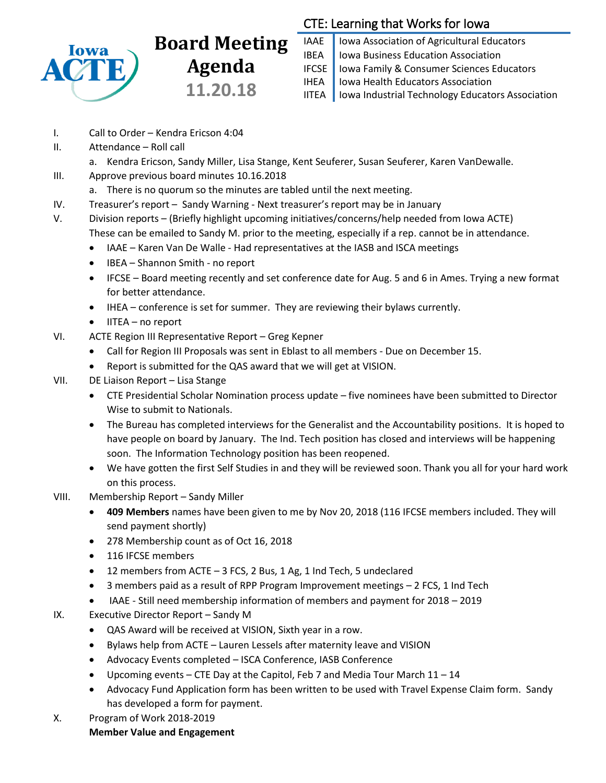

# **Board Meeting Agenda 11.20.18**

## CTE: Learning that Works for Iowa

IAAE | Iowa Association of Agricultural Educators IBEA | Iowa Business Education Association IFCSE Iowa Family & Consumer Sciences Educators IHEA | Iowa Health Educators Association IITEA | Iowa Industrial Technology Educators Association

- I. Call to Order Kendra Ericson 4:04
- II. Attendance Roll call
- a. Kendra Ericson, Sandy Miller, Lisa Stange, Kent Seuferer, Susan Seuferer, Karen VanDewalle. III. Approve previous board minutes 10.16.2018
	- a. There is no quorum so the minutes are tabled until the next meeting.
- IV. Treasurer's report Sandy Warning Next treasurer's report may be in January
- V. Division reports (Briefly highlight upcoming initiatives/concerns/help needed from Iowa ACTE) These can be emailed to Sandy M. prior to the meeting, especially if a rep. cannot be in attendance.
	- IAAE Karen Van De Walle Had representatives at the IASB and ISCA meetings
	- IBEA Shannon Smith no report
	- IFCSE Board meeting recently and set conference date for Aug. 5 and 6 in Ames. Trying a new format for better attendance.
	- IHEA conference is set for summer. They are reviewing their bylaws currently.
	- $\bullet$  IITEA no report
- VI. ACTE Region III Representative Report Greg Kepner
	- Call for Region III Proposals was sent in Eblast to all members Due on December 15.
	- Report is submitted for the QAS award that we will get at VISION.
- VII. DE Liaison Report Lisa Stange
	- CTE Presidential Scholar Nomination process update five nominees have been submitted to Director Wise to submit to Nationals.
	- The Bureau has completed interviews for the Generalist and the Accountability positions. It is hoped to have people on board by January. The Ind. Tech position has closed and interviews will be happening soon. The Information Technology position has been reopened.
	- We have gotten the first Self Studies in and they will be reviewed soon. Thank you all for your hard work on this process.
- VIII. Membership Report Sandy Miller
	- **409 Members** names have been given to me by Nov 20, 2018 (116 IFCSE members included. They will send payment shortly)
	- 278 Membership count as of Oct 16, 2018
	- 116 IFCSE members
	- 12 members from ACTE 3 FCS, 2 Bus, 1 Ag, 1 Ind Tech, 5 undeclared
	- 3 members paid as a result of RPP Program Improvement meetings 2 FCS, 1 Ind Tech
	- IAAE Still need membership information of members and payment for 2018 2019
- IX. Executive Director Report Sandy M
	- QAS Award will be received at VISION, Sixth year in a row.
	- Bylaws help from ACTE Lauren Lessels after maternity leave and VISION
	- Advocacy Events completed ISCA Conference, IASB Conference
	- Upcoming events CTE Day at the Capitol, Feb 7 and Media Tour March  $11 14$
	- Advocacy Fund Application form has been written to be used with Travel Expense Claim form. Sandy has developed a form for payment.
- X. Program of Work 2018-2019

### **Member Value and Engagement**